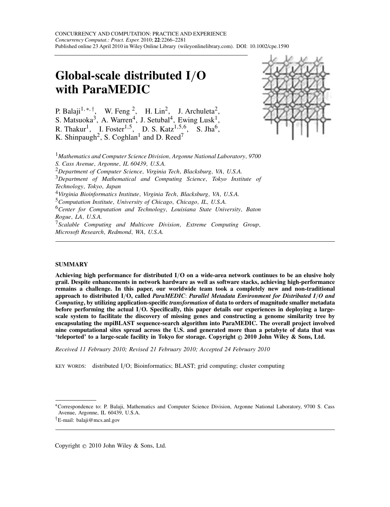# **Global-scale distributed I***/***O with ParaMEDIC**

P. Balaji<sup>1,∗,†</sup>, W. Feng <sup>2</sup>, H. Lin<sup>2</sup>, J. Archuleta<sup>2</sup>, S. Matsuoka<sup>3</sup>, A. Warren<sup>4</sup>, J. Setubal<sup>4</sup>, Ewing Lusk<sup>1</sup>, R. Thakur1, I. Foster1*,*5, D. S. Katz1*,*5*,*6, S. Jha6, K. Shinpaugh<sup>2</sup>, S. Coghlan<sup>1</sup> and D. Reed<sup>7</sup>



<sup>1</sup>*Mathematics and Computer Science Division, Argonne National Laboratory, 9700 S. Cass Avenue, Argonne, IL 60439, U.S.A.*

<sup>2</sup>*Department of Computer Science, Virginia Tech, Blacksburg, VA, U.S.A.*

<sup>3</sup>*Department of Mathematical and Computing Science, Tokyo Institute of Technology, Tokyo, Japan*

<sup>4</sup>*Virginia Bioinformatics Institute, Virginia Tech, Blacksburg, VA, U.S.A.*

<sup>5</sup>*Computation Institute, University of Chicago, Chicago, IL, U.S.A.*

<sup>6</sup>*Center for Computation and Technology, Louisiana State University, Baton Rogue, LA, U.S.A.*

<sup>7</sup>*Scalable Computing and Multicore Division, Extreme Computing Group, Microsoft Research, Redmond, WA, U.S.A.*

#### **SUMMARY**

**Achieving high performance for distributed I***/***O on a wide-area network continues to be an elusive holy grail. Despite enhancements in network hardware as well as software stacks, achieving high-performance remains a challenge. In this paper, our worldwide team took a completely new and non-traditional approach to distributed I***/***O, called** *ParaMEDIC*: *Parallel Metadata Environment for Distributed I/O and Computing***, by utilizing application-specific** *transformation* **of data to orders of magnitude smaller metadata before performing the actual I***/***O. Specifically, this paper details our experiences in deploying a largescale system to facilitate the discovery of missing genes and constructing a genome similarity tree by encapsulating the mpiBLAST sequence-search algorithm into ParaMEDIC. The overall project involved nine computational sites spread across the U.S. and generated more than a petabyte of data that was 'teleported' to a large-scale facility in Tokyo for storage. Copyright © 2010 John Wiley & Sons, Ltd.**

*Received 11 February 2010; Revised 21 February 2010; Accepted 24 February 2010*

KEY WORDS: distributed I*/*O; Bioinformatics; BLAST; grid computing; cluster computing

Copyright  $\odot$  2010 John Wiley & Sons, Ltd.

<sup>∗</sup>Correspondence to: P. Balaji, Mathematics and Computer Science Division, Argonne National Laboratory, 9700 S. Cass Avenue, Argonne, IL 60439, U.S.A.

*<sup>†</sup>*E-mail: balaji@mcs.anl.gov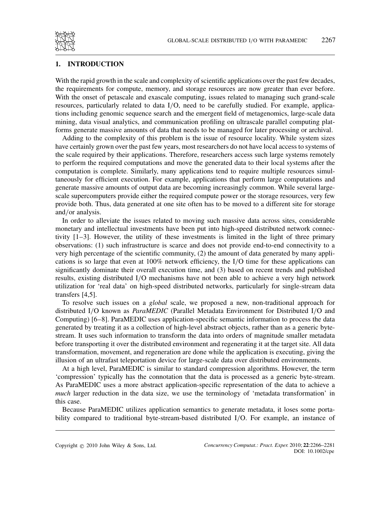

#### **1. INTRODUCTION**

With the rapid growth in the scale and complexity of scientific applications over the past few decades, the requirements for compute, memory, and storage resources are now greater than ever before. With the onset of petascale and exascale computing, issues related to managing such grand-scale resources, particularly related to data I*/*O, need to be carefully studied. For example, applications including genomic sequence search and the emergent field of metagenomics, large-scale data mining, data visual analytics, and communication profiling on ultrascale parallel computing platforms generate massive amounts of data that needs to be managed for later processing or archival.

Adding to the complexity of this problem is the issue of resource locality. While system sizes have certainly grown over the past few years, most researchers do not have local access to systems of the scale required by their applications. Therefore, researchers access such large systems remotely to perform the required computations and move the generated data to their local systems after the computation is complete. Similarly, many applications tend to require multiple resources simultaneously for efficient execution. For example, applications that perform large computations and generate massive amounts of output data are becoming increasingly common. While several largescale supercomputers provide either the required compute power or the storage resources, very few provide both. Thus, data generated at one site often has to be moved to a different site for storage and*/*or analysis.

In order to alleviate the issues related to moving such massive data across sites, considerable monetary and intellectual investments have been put into high-speed distributed network connectivity [1–3]. However, the utility of these investments is limited in the light of three primary observations: (1) such infrastructure is scarce and does not provide end-to-end connectivity to a very high percentage of the scientific community, (2) the amount of data generated by many applications is so large that even at 100% network efficiency, the I*/*O time for these applications can significantly dominate their overall execution time, and (3) based on recent trends and published results, existing distributed I*/*O mechanisms have not been able to achieve a very high network utilization for 'real data' on high-speed distributed networks, particularly for single-stream data transfers [4,5].

To resolve such issues on a *global* scale, we proposed a new, non-traditional approach for distributed I*/*O known as *ParaMEDIC* (Parallel Metadata Environment for Distributed I*/*O and Computing) [6–8]. ParaMEDIC uses application-specific semantic information to process the data generated by treating it as a collection of high-level abstract objects, rather than as a generic bytestream. It uses such information to transform the data into orders of magnitude smaller metadata before transporting it over the distributed environment and regenerating it at the target site. All data transformation, movement, and regeneration are done while the application is executing, giving the illusion of an ultrafast teleportation device for large-scale data over distributed environments.

At a high level, ParaMEDIC is similar to standard compression algorithms. However, the term 'compression' typically has the connotation that the data is processed as a generic byte-stream. As ParaMEDIC uses a more abstract application-specific representation of the data to achieve a *much* larger reduction in the data size, we use the terminology of 'metadata transformation' in this case.

Because ParaMEDIC utilizes application semantics to generate metadata, it loses some portability compared to traditional byte-stream-based distributed I*/*O. For example, an instance of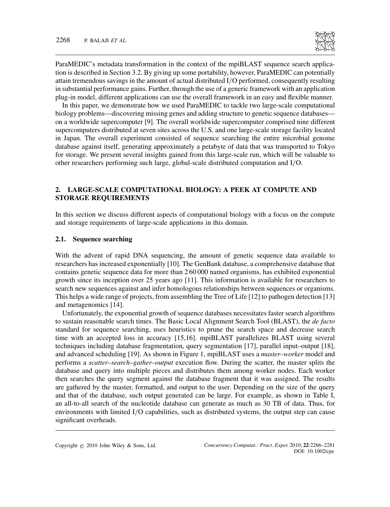ParaMEDIC's metadata transformation in the context of the mpiBLAST sequence search application is described in Section 3.2. By giving up some portability, however, ParaMEDIC can potentially attain tremendous savings in the amount of actual distributed I*/*O performed, consequently resulting in substantial performance gains. Further, through the use of a generic framework with an application plug-in model, different applications can use the overall framework in an easy and flexible manner.

In this paper, we demonstrate how we used ParaMEDIC to tackle two large-scale computational biology problems—discovering missing genes and adding structure to genetic sequence databases on a worldwide supercomputer [9]. The overall worldwide supercomputer comprised nine different supercomputers distributed at seven sites across the U.S. and one large-scale storage facility located in Japan. The overall experiment consisted of sequence searching the entire microbial genome database against itself, generating approximately a petabyte of data that was transported to Tokyo for storage. We present several insights gained from this large-scale run, which will be valuable to other researchers performing such large, global-scale distributed computation and I*/*O.

## **2. LARGE-SCALE COMPUTATIONAL BIOLOGY: A PEEK AT COMPUTE AND STORAGE REQUIREMENTS**

In this section we discuss different aspects of computational biology with a focus on the compute and storage requirements of large-scale applications in this domain.

### **2.1. Sequence searching**

With the advent of rapid DNA sequencing, the amount of genetic sequence data available to researchers has increased exponentially [10]. The GenBank database, a comprehensive database that contains genetic sequence data for more than 2 60 000 named organisms, has exhibited exponential growth since its inception over 25 years ago [11]. This information is available for researchers to search new sequences against and infer homologous relationships between sequences or organisms. This helps a wide range of projects, from assembling the Tree of Life [12] to pathogen detection [13] and metagenomics [14].

Unfortunately, the exponential growth of sequence databases necessitates faster search algorithms to sustain reasonable search times. The Basic Local Alignment Search Tool (BLAST), the *de facto* standard for sequence searching, uses heuristics to prune the search space and decrease search time with an accepted loss in accuracy [15,16]. mpiBLAST parallelizes BLAST using several techniques including database fragmentation, query segmentation [17], parallel input–output [18], and advanced scheduling [19]. As shown in Figure 1, mpiBLAST uses a *master–worker* model and performs a *scatter–search–gather–output* execution flow. During the scatter, the master splits the database and query into multiple pieces and distributes them among worker nodes. Each worker then searches the query segment against the database fragment that it was assigned. The results are gathered by the master, formatted, and output to the user. Depending on the size of the query and that of the database, such output generated can be large. For example, as shown in Table I, an all-to-all search of the nucleotide database can generate as much as 30 TB of data. Thus, for environments with limited I*/*O capabilities, such as distributed systems, the output step can cause significant overheads.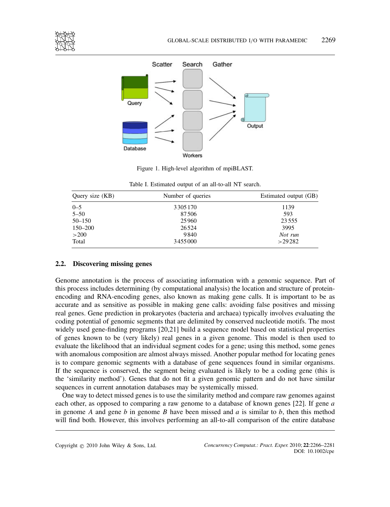



Figure 1. High-level algorithm of mpiBLAST.

| Query size (KB) | Number of queries | Estimated output (GB) |
|-----------------|-------------------|-----------------------|
| $0 - 5$         | 3305170           | 1139                  |
| $5 - 50$        | 87506             | 593                   |
| $50 - 150$      | 25960             | 23 5 5 5              |
| 150–200         | 26524             | 3995                  |
| >200            | 9840              | Not run               |
| Total           | 3455000           | >29282                |

Table I. Estimated output of an all-to-all NT search.

## **2.2. Discovering missing genes**

Genome annotation is the process of associating information with a genomic sequence. Part of this process includes determining (by computational analysis) the location and structure of proteinencoding and RNA-encoding genes, also known as making gene calls. It is important to be as accurate and as sensitive as possible in making gene calls: avoiding false positives and missing real genes. Gene prediction in prokaryotes (bacteria and archaea) typically involves evaluating the coding potential of genomic segments that are delimited by conserved nucleotide motifs. The most widely used gene-finding programs [20,21] build a sequence model based on statistical properties of genes known to be (very likely) real genes in a given genome. This model is then used to evaluate the likelihood that an individual segment codes for a gene; using this method, some genes with anomalous composition are almost always missed. Another popular method for locating genes is to compare genomic segments with a database of gene sequences found in similar organisms. If the sequence is conserved, the segment being evaluated is likely to be a coding gene (this is the 'similarity method'). Genes that do not fit a given genomic pattern and do not have similar sequences in current annotation databases may be systemically missed.

One way to detect missed genes is to use the similarity method and compare raw genomes against each other, as opposed to comparing a raw genome to a database of known genes [22]. If gene *a* in genome *A* and gene *b* in genome *B* have been missed and *a* is similar to *b*, then this method will find both. However, this involves performing an all-to-all comparison of the entire database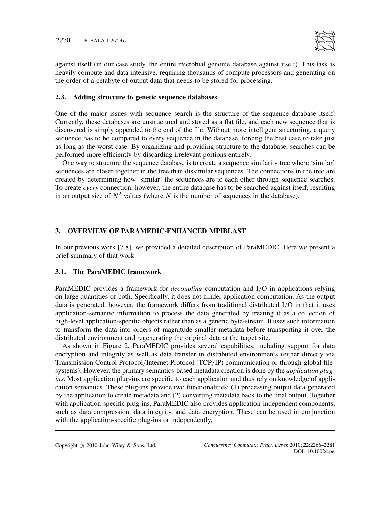

against itself (in our case study, the entire microbial genome database against itself). This task is heavily compute and data intensive, requiring thousands of compute processors and generating on the order of a petabyte of output data that needs to be stored for processing.

## **2.3. Adding structure to genetic sequence databases**

One of the major issues with sequence search is the structure of the sequence database itself. Currently, these databases are unstructured and stored as a flat file, and each new sequence that is discovered is simply appended to the end of the file. Without more intelligent structuring, a query sequence has to be compared to every sequence in the database, forcing the best case to take just as long as the worst case. By organizing and providing structure to the database, searches can be performed more efficiently by discarding irrelevant portions entirely.

One way to structure the sequence database is to create a sequence similarity tree where 'similar' sequences are closer together in the tree than dissimilar sequences. The connections in the tree are created by determining how 'similar' the sequences are to each other through sequence searches. To create *every* connection, however, the entire database has to be searched against itself, resulting in an output size of  $N^2$  values (where N is the number of sequences in the database).

## **3. OVERVIEW OF PARAMEDIC-ENHANCED MPIBLAST**

In our previous work [7,8], we provided a detailed description of ParaMEDIC. Here we present a brief summary of that work.

#### **3.1. The ParaMEDIC framework**

ParaMEDIC provides a framework for *decoupling* computation and I*/*O in applications relying on large quantities of both. Specifically, it does not hinder application computation. As the output data is generated, however, the framework differs from traditional distributed I*/*O in that it uses application-semantic information to process the data generated by treating it as a collection of high-level application-specific objects rather than as a generic byte-stream. It uses such information to transform the data into orders of magnitude smaller metadata before transporting it over the distributed environment and regenerating the original data at the target site.

As shown in Figure 2, ParaMEDIC provides several capabilities, including support for data encryption and integrity as well as data transfer in distributed environments (either directly via Transmission Control Protocol*/*Internet Protocol (TCP*/*IP) communication or through global filesystems). However, the primary semantics-based metadata creation is done by the *application plugins*. Most application plug-ins are specific to each application and thus rely on knowledge of application semantics. These plug-ins provide two functionalities: (1) processing output data generated by the application to create metadata and (2) converting metadata back to the final output. Together with application-specific plug-ins, ParaMEDIC also provides application-independent components, such as data compression, data integrity, and data encryption. These can be used in conjunction with the application-specific plug-ins or independently.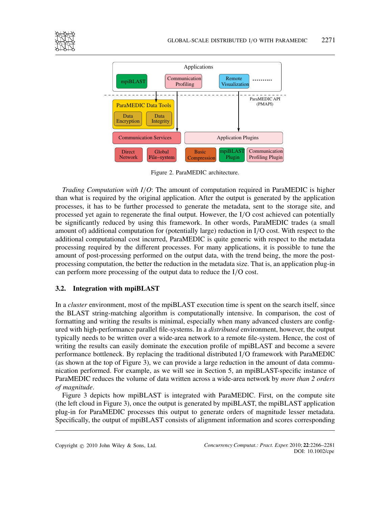



Figure 2. ParaMEDIC architecture.

*Trading Computation with I/O*: The amount of computation required in ParaMEDIC is higher than what is required by the original application. After the output is generated by the application processes, it has to be further processed to generate the metadata, sent to the storage site, and processed yet again to regenerate the final output. However, the I*/*O cost achieved can potentially be significantly reduced by using this framework. In other words, ParaMEDIC trades (a small amount of) additional computation for (potentially large) reduction in I*/*O cost. With respect to the additional computational cost incurred, ParaMEDIC is quite generic with respect to the metadata processing required by the different processes. For many applications, it is possible to tune the amount of post-processing performed on the output data, with the trend being, the more the postprocessing computation, the better the reduction in the metadata size. That is, an application plug-in can perform more processing of the output data to reduce the I*/*O cost.

## **3.2. Integration with mpiBLAST**

In a *cluster* environment, most of the mpiBLAST execution time is spent on the search itself, since the BLAST string-matching algorithm is computationally intensive. In comparison, the cost of formatting and writing the results is minimal, especially when many advanced clusters are configured with high-performance parallel file-systems. In a *distributed* environment, however, the output typically needs to be written over a wide-area network to a remote file-system. Hence, the cost of writing the results can easily dominate the execution profile of mpiBLAST and become a severe performance bottleneck. By replacing the traditional distributed I*/*O framework with ParaMEDIC (as shown at the top of Figure 3), we can provide a large reduction in the amount of data communication performed. For example, as we will see in Section 5, an mpiBLAST-specific instance of ParaMEDIC reduces the volume of data written across a wide-area network by *more than 2 orders of magnitude*.

Figure 3 depicts how mpiBLAST is integrated with ParaMEDIC. First, on the compute site (the left cloud in Figure 3), once the output is generated by mpiBLAST, the mpiBLAST application plug-in for ParaMEDIC processes this output to generate orders of magnitude lesser metadata. Specifically, the output of mpiBLAST consists of alignment information and scores corresponding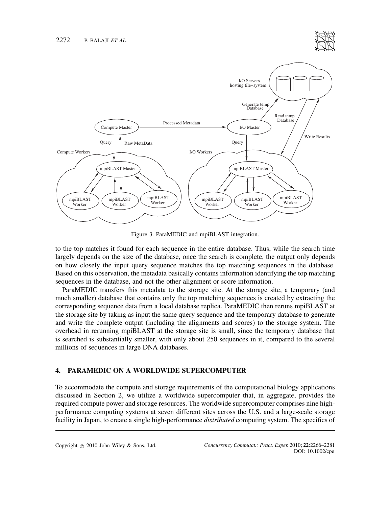



Figure 3. ParaMEDIC and mpiBLAST integration.

to the top matches it found for each sequence in the entire database. Thus, while the search time largely depends on the size of the database, once the search is complete, the output only depends on how closely the input query sequence matches the top matching sequences in the database. Based on this observation, the metadata basically contains information identifying the top matching sequences in the database, and not the other alignment or score information.

ParaMEDIC transfers this metadata to the storage site. At the storage site, a temporary (and much smaller) database that contains only the top matching sequences is created by extracting the corresponding sequence data from a local database replica. ParaMEDIC then reruns mpiBLAST at the storage site by taking as input the same query sequence and the temporary database to generate and write the complete output (including the alignments and scores) to the storage system. The overhead in rerunning mpiBLAST at the storage site is small, since the temporary database that is searched is substantially smaller, with only about 250 sequences in it, compared to the several millions of sequences in large DNA databases.

## **4. PARAMEDIC ON A WORLDWIDE SUPERCOMPUTER**

To accommodate the compute and storage requirements of the computational biology applications discussed in Section 2, we utilize a worldwide supercomputer that, in aggregate, provides the required compute power and storage resources. The worldwide supercomputer comprises nine highperformance computing systems at seven different sites across the U.S. and a large-scale storage facility in Japan, to create a single high-performance *distributed* computing system. The specifics of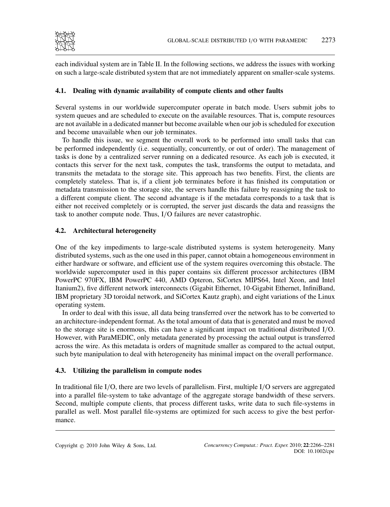

each individual system are in Table II. In the following sections, we address the issues with working on such a large-scale distributed system that are not immediately apparent on smaller-scale systems.

## **4.1. Dealing with dynamic availability of compute clients and other faults**

Several systems in our worldwide supercomputer operate in batch mode. Users submit jobs to system queues and are scheduled to execute on the available resources. That is, compute resources are not available in a dedicated manner but become available when our job is scheduled for execution and become unavailable when our job terminates.

To handle this issue, we segment the overall work to be performed into small tasks that can be performed independently (i.e. sequentially, concurrently, or out of order). The management of tasks is done by a centralized server running on a dedicated resource. As each job is executed, it contacts this server for the next task, computes the task, transforms the output to metadata, and transmits the metadata to the storage site. This approach has two benefits. First, the clients are completely stateless. That is, if a client job terminates before it has finished its computation or metadata transmission to the storage site, the servers handle this failure by reassigning the task to a different compute client. The second advantage is if the metadata corresponds to a task that is either not received completely or is corrupted, the server just discards the data and reassigns the task to another compute node. Thus, I*/*O failures are never catastrophic.

## **4.2. Architectural heterogeneity**

One of the key impediments to large-scale distributed systems is system heterogeneity. Many distributed systems, such as the one used in this paper, cannot obtain a homogeneous environment in either hardware or software, and efficient use of the system requires overcoming this obstacle. The worldwide supercomputer used in this paper contains six different processor architectures (IBM PowerPC 970FX, IBM PowerPC 440, AMD Opteron, SiCortex MIPS64, Intel Xeon, and Intel Itanium2), five different network interconnects (Gigabit Ethernet, 10-Gigabit Ethernet, InfiniBand, IBM proprietary 3D toroidal network, and SiCortex Kautz graph), and eight variations of the Linux operating system.

In order to deal with this issue, all data being transferred over the network has to be converted to an architecture-independent format. As the total amount of data that is generated and must be moved to the storage site is enormous, this can have a significant impact on traditional distributed I*/*O. However, with ParaMEDIC, only metadata generated by processing the actual output is transferred across the wire. As this metadata is orders of magnitude smaller as compared to the actual output, such byte manipulation to deal with heterogeneity has minimal impact on the overall performance.

## **4.3. Utilizing the parallelism in compute nodes**

In traditional file I*/*O, there are two levels of parallelism. First, multiple I*/*O servers are aggregated into a parallel file-system to take advantage of the aggregate storage bandwidth of these servers. Second, multiple compute clients, that process different tasks, write data to such file-systems in parallel as well. Most parallel file-systems are optimized for such access to give the best performance.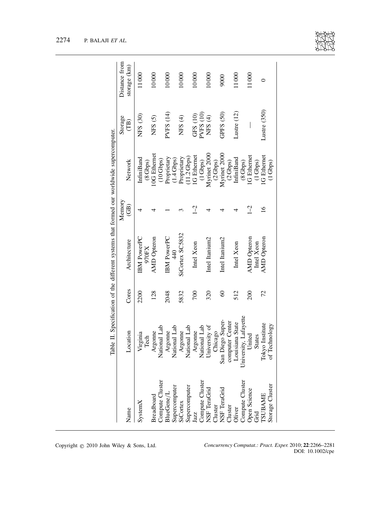|                                                                                                                             | Table II. Specification of the different systems that formed our worldwide supercomputer. |           |                      | Memory         |                                    | Storage              | Distance from |
|-----------------------------------------------------------------------------------------------------------------------------|-------------------------------------------------------------------------------------------|-----------|----------------------|----------------|------------------------------------|----------------------|---------------|
| Name                                                                                                                        | Location                                                                                  | Cores     | Architecture         | (B)            | Network                            | (1B)                 | storage (km)  |
| SystemX                                                                                                                     | Virginia                                                                                  | 2200      | <b>IBM</b> PowerPC   | 4              | <b>InfiniBand</b>                  | NFS (30)             | 11000         |
| <b>Sreadboard</b>                                                                                                           | Argonne<br>Tech                                                                           | 128       | AMD Opteron<br>970FX | ₹              | <b>OG</b> Ethernet<br>(8 Gbps)     | NFS <sub>(5)</sub>   | 10000         |
| $\begin{array}{ll} \text{Compute Cluster} \\ \text{BlueGene/L} \end{array}$                                                 | National Lab<br>Argonne                                                                   | 2048      | <b>IBM PowerPC</b>   |                | Proprietary<br>$(10 \text{ Gbps})$ | PVFS (14)            | 10000         |
| Supercomputer<br>SiCortex<br>Supercomputer<br>Jazz                                                                          | National Lab                                                                              |           | $\frac{40}{3}$       |                | $(1.4 \text{ Gbps})$               |                      |               |
|                                                                                                                             | Argonne                                                                                   | 5832      | SiCortex SC5832      | $\mathfrak{g}$ | Proprietary                        | NFS <sub>(4)</sub>   | 10000         |
|                                                                                                                             | National Lab                                                                              |           |                      |                | 11.2 Gbps)                         |                      |               |
|                                                                                                                             | Argonne                                                                                   | 700       | Intel Xeon           | $\sqrt{2}$     | IG Ethernet                        | GFS(10)              | 10000         |
|                                                                                                                             | National Lab                                                                              |           |                      |                | $(1 \text{ Gbps})$                 | PVFS(10)             |               |
| Compute Cluster<br>NSF TeraGrid<br>Cluster<br>NSF TeraGrid<br>Cluster<br>Compute Cluster<br>Compute Cluster<br>Open Science | University of                                                                             | 320       | Intel Itanium2       | 4              | Myrinet 2000                       | NFS $(4)$            | 10000         |
|                                                                                                                             | Chicago                                                                                   |           |                      |                | $(2 \text{Gbps})$                  |                      |               |
|                                                                                                                             | San Diego Super-                                                                          | $\degree$ | Intel Itanium2       | ₹              | Myrinet 2000                       | GPFS <sub>(50)</sub> | 9000          |
|                                                                                                                             | computer Center                                                                           |           |                      |                | $(2 \text{ Gbps})$                 |                      |               |
|                                                                                                                             | Louisiana State                                                                           | 512       | Intel Xeon           | 4              | <b>InfiniBand</b>                  | Lustre $(12)$        | 11000         |
|                                                                                                                             | University, Lafayette                                                                     |           |                      |                | (8 Gbps)                           |                      |               |
|                                                                                                                             | United                                                                                    | 200       | AMD Opteron          | $1 - 2$        | <b>IG</b> Ethernet                 |                      | 11000         |
|                                                                                                                             | <b>States</b>                                                                             |           | Intel Xeon           |                | $(1 \text{ Gbps})$                 |                      |               |
| <b>TSUBAME</b>                                                                                                              | Tokyo Institute                                                                           | 72        | AMD Opteron          | $\frac{6}{1}$  | IG Ethernet                        | Lustre (350)         | 0             |
| Storage Cluster                                                                                                             | of Technology                                                                             |           |                      |                | $(1 \text{ Gbps})$                 |                      |               |



Copyright q 2010 John Wiley & Sons, Ltd. *Concurrency Computat.: Pract. Exper.* 2010; **22**:2266–2281 DOI: 10.1002/cpe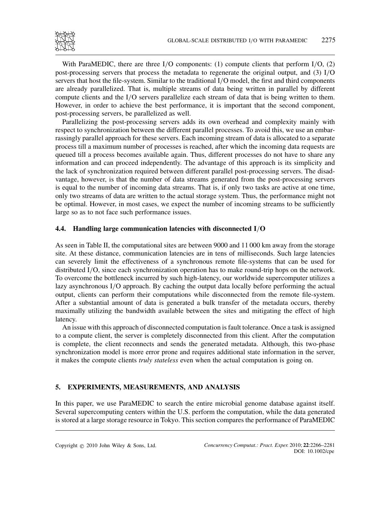

With ParaMEDIC, there are three I*/*O components: (1) compute clients that perform I*/*O, (2) post-processing servers that process the metadata to regenerate the original output, and (3) I*/*O servers that host the file-system. Similar to the traditional I*/*O model, the first and third components are already parallelized. That is, multiple streams of data being written in parallel by different compute clients and the I*/*O servers parallelize each stream of data that is being written to them. However, in order to achieve the best performance, it is important that the second component, post-processing servers, be parallelized as well.

Parallelizing the post-processing servers adds its own overhead and complexity mainly with respect to synchronization between the different parallel processes. To avoid this, we use an embarrassingly parallel approach for these servers. Each incoming stream of data is allocated to a separate process till a maximum number of processes is reached, after which the incoming data requests are queued till a process becomes available again. Thus, different processes do not have to share any information and can proceed independently. The advantage of this approach is its simplicity and the lack of synchronization required between different parallel post-processing servers. The disadvantage, however, is that the number of data streams generated from the post-processing servers is equal to the number of incoming data streams. That is, if only two tasks are active at one time, only two streams of data are written to the actual storage system. Thus, the performance might not be optimal. However, in most cases, we expect the number of incoming streams to be sufficiently large so as to not face such performance issues.

## **4.4. Handling large communication latencies with disconnected I***/***O**

As seen in Table II, the computational sites are between 9000 and 11 000 km away from the storage site. At these distance, communication latencies are in tens of milliseconds. Such large latencies can severely limit the effectiveness of a synchronous remote file-systems that can be used for distributed I*/*O, since each synchronization operation has to make round-trip hops on the network. To overcome the bottleneck incurred by such high-latency, our worldwide supercomputer utilizes a lazy asynchronous I*/*O approach. By caching the output data locally before performing the actual output, clients can perform their computations while disconnected from the remote file-system. After a substantial amount of data is generated a bulk transfer of the metadata occurs, thereby maximally utilizing the bandwidth available between the sites and mitigating the effect of high latency.

An issue with this approach of disconnected computation is fault tolerance. Once a task is assigned to a compute client, the server is completely disconnected from this client. After the computation is complete, the client reconnects and sends the generated metadata. Although, this two-phase synchronization model is more error prone and requires additional state information in the server, it makes the compute clients *truly stateless* even when the actual computation is going on.

## **5. EXPERIMENTS, MEASUREMENTS, AND ANALYSIS**

In this paper, we use ParaMEDIC to search the entire microbial genome database against itself. Several supercomputing centers within the U.S. perform the computation, while the data generated is stored at a large storage resource in Tokyo. This section compares the performance of ParaMEDIC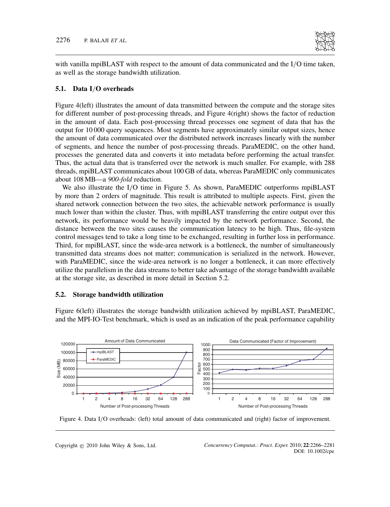

with vanilla mpiBLAST with respect to the amount of data communicated and the I*/*O time taken, as well as the storage bandwidth utilization.

#### **5.1. Data I***/***O overheads**

Figure 4(left) illustrates the amount of data transmitted between the compute and the storage sites for different number of post-processing threads, and Figure 4(right) shows the factor of reduction in the amount of data. Each post-processing thread processes one segment of data that has the output for 10 000 query sequences. Most segments have approximately similar output sizes, hence the amount of data communicated over the distributed network increases linearly with the number of segments, and hence the number of post-processing threads. ParaMEDIC, on the other hand, processes the generated data and converts it into metadata before performing the actual transfer. Thus, the actual data that is transferred over the network is much smaller. For example, with 288 threads, mpiBLAST communicates about 100 GB of data, whereas ParaMEDIC only communicates about 108 MB—a *900-fold* reduction.

We also illustrate the I*/*O time in Figure 5. As shown, ParaMEDIC outperforms mpiBLAST by more than 2 orders of magnitude. This result is attributed to multiple aspects. First, given the shared network connection between the two sites, the achievable network performance is usually much lower than within the cluster. Thus, with mpiBLAST transferring the entire output over this network, its performance would be heavily impacted by the network performance. Second, the distance between the two sites causes the communication latency to be high. Thus, file-system control messages tend to take a long time to be exchanged, resulting in further loss in performance. Third, for mpiBLAST, since the wide-area network is a bottleneck, the number of simultaneously transmitted data streams does not matter; communication is serialized in the network. However, with ParaMEDIC, since the wide-area network is no longer a bottleneck, it can more effectively utilize the parallelism in the data streams to better take advantage of the storage bandwidth available at the storage site, as described in more detail in Section 5.2.

#### **5.2. Storage bandwidth utilization**

Figure 6(left) illustrates the storage bandwidth utilization achieved by mpiBLAST, ParaMEDIC, and the MPI-IO-Test benchmark, which is used as an indication of the peak performance capability



Figure 4. Data I*/*O overheads: (left) total amount of data communicated and (right) factor of improvement.

Copyright q 2010 John Wiley & Sons, Ltd. *Concurrency Computat.: Pract. Exper.* 2010; **22**:2266–2281 DOI: 10.1002/cpe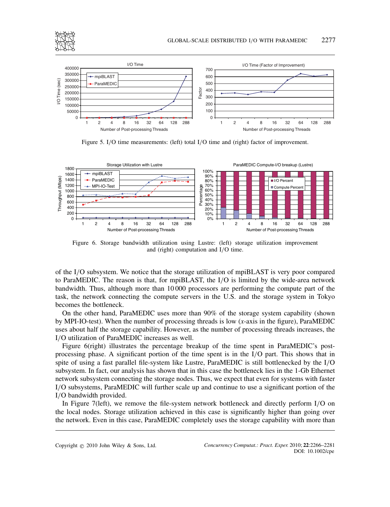



Figure 5. I*/*O time measurements: (left) total I*/*O time and (right) factor of improvement.

Number of Post-processing Threads



Figure 6. Storage bandwidth utilization using Lustre: (left) storage utilization improvement and (right) computation and I*/*O time.

of the I*/*O subsystem. We notice that the storage utilization of mpiBLAST is very poor compared to ParaMEDIC. The reason is that, for mpiBLAST, the I*/*O is limited by the wide-area network bandwidth. Thus, although more than 10 000 processors are performing the compute part of the task, the network connecting the compute servers in the U.S. and the storage system in Tokyo becomes the bottleneck.

On the other hand, ParaMEDIC uses more than 90% of the storage system capability (shown by MPI-IO-test). When the number of processing threads is low (*x*-axis in the figure), ParaMEDIC uses about half the storage capability. However, as the number of processing threads increases, the I*/*O utilization of ParaMEDIC increases as well.

Figure 6(right) illustrates the percentage breakup of the time spent in ParaMEDIC's postprocessing phase. A significant portion of the time spent is in the I*/*O part. This shows that in spite of using a fast parallel file-system like Lustre, ParaMEDIC is still bottlenecked by the I*/*O subsystem. In fact, our analysis has shown that in this case the bottleneck lies in the 1-Gb Ethernet network subsystem connecting the storage nodes. Thus, we expect that even for systems with faster I*/*O subsystems, ParaMEDIC will further scale up and continue to use a significant portion of the I*/*O bandwidth provided.

In Figure 7(left), we remove the file-system network bottleneck and directly perform I*/*O on the local nodes. Storage utilization achieved in this case is significantly higher than going over the network. Even in this case, ParaMEDIC completely uses the storage capability with more than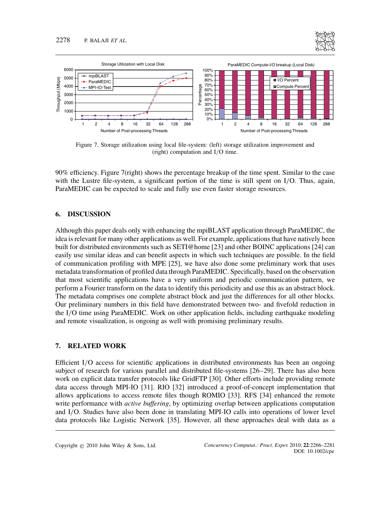



Figure 7. Storage utilization using local file-system: (left) storage utilization improvement and (right) computation and I*/*O time.

90% efficiency. Figure 7(right) shows the percentage breakup of the time spent. Similar to the case with the Lustre file-system, a significant portion of the time is still spent on I*/*O. Thus, again, ParaMEDIC can be expected to scale and fully use even faster storage resources.

## **6. DISCUSSION**

Although this paper deals only with enhancing the mpiBLAST application through ParaMEDIC, the idea is relevant for many other applications as well. For example, applications that have natively been built for distributed environments such as SETI@home [23] and other BOINC applications [24] can easily use similar ideas and can benefit aspects in which such techniques are possible. In the field of communication profiling with MPE [25], we have also done some preliminary work that uses metadata transformation of profiled data through ParaMEDIC. Specifically, based on the observation that most scientific applications have a very uniform and periodic communication pattern, we perform a Fourier transform on the data to identify this periodicity and use this as an abstract block. The metadata comprises one complete abstract block and just the differences for all other blocks. Our preliminary numbers in this field have demonstrated between two- and fivefold reduction in the I*/*O time using ParaMEDIC. Work on other application fields, including earthquake modeling and remote visualization, is ongoing as well with promising preliminary results.

## **7. RELATED WORK**

Efficient I*/*O access for scientific applications in distributed environments has been an ongoing subject of research for various parallel and distributed file-systems [26–29]. There has also been work on explicit data transfer protocols like GridFTP [30]. Other efforts include providing remote data access through MPI-IO [31]. RIO [32] introduced a proof-of-concept implementation that allows applications to access remote files though ROMIO [33]. RFS [34] enhanced the remote write performance with *active buffering*, by optimizing overlap between applications computation and I*/*O. Studies have also been done in translating MPI-IO calls into operations of lower level data protocols like Logistic Network [35]. However, all these approaches deal with data as a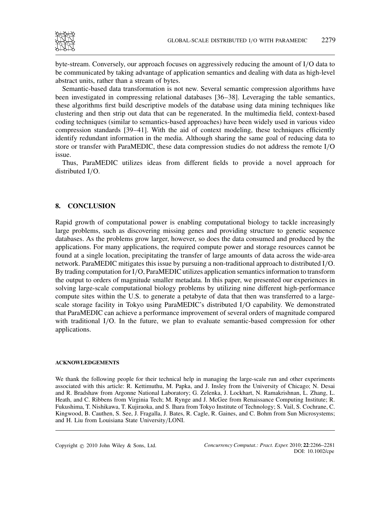

byte-stream. Conversely, our approach focuses on aggressively reducing the amount of I*/*O data to be communicated by taking advantage of application semantics and dealing with data as high-level abstract units, rather than a stream of bytes.

Semantic-based data transformation is not new. Several semantic compression algorithms have been investigated in compressing relational databases [36–38]. Leveraging the table semantics, these algorithms first build descriptive models of the database using data mining techniques like clustering and then strip out data that can be regenerated. In the multimedia field, context-based coding techniques (similar to semantics-based approaches) have been widely used in various video compression standards [39–41]. With the aid of context modeling, these techniques efficiently identify redundant information in the media. Although sharing the same goal of reducing data to store or transfer with ParaMEDIC, these data compression studies do not address the remote I*/*O issue.

Thus, ParaMEDIC utilizes ideas from different fields to provide a novel approach for distributed I*/*O.

## **8. CONCLUSION**

Rapid growth of computational power is enabling computational biology to tackle increasingly large problems, such as discovering missing genes and providing structure to genetic sequence databases. As the problems grow larger, however, so does the data consumed and produced by the applications. For many applications, the required compute power and storage resources cannot be found at a single location, precipitating the transfer of large amounts of data across the wide-area network. ParaMEDIC mitigates this issue by pursuing a non-traditional approach to distributed I*/*O. By trading computation for I*/*O, ParaMEDIC utilizes application semantics information to transform the output to orders of magnitude smaller metadata. In this paper, we presented our experiences in solving large-scale computational biology problems by utilizing nine different high-performance compute sites within the U.S. to generate a petabyte of data that then was transferred to a largescale storage facility in Tokyo using ParaMEDIC's distributed I*/*O capability. We demonstrated that ParaMEDIC can achieve a performance improvement of several orders of magnitude compared with traditional I*/*O. In the future, we plan to evaluate semantic-based compression for other applications.

#### **ACKNOWLEDGEMENTS**

We thank the following people for their technical help in managing the large-scale run and other experiments associated with this article: R. Kettimuthu, M. Papka, and J. Insley from the University of Chicago; N. Desai and R. Bradshaw from Argonne National Laboratory; G. Zelenka, J. Lockhart, N. Ramakrishnan, L. Zhang, L. Heath, and C. Ribbens from Virginia Tech; M. Rynge and J. McGee from Renaissance Computing Institute; R. Fukushima, T. Nishikawa, T. Kujiraoka, and S. Ihara from Tokyo Institute of Technology; S. Vail, S. Cochrane, C. Kingwood, B. Cauthen, S. See, J. Fragalla, J. Bates, R. Cagle, R. Gaines, and C. Bohm from Sun Microsystems; and H. Liu from Louisiana State University*/*LONI.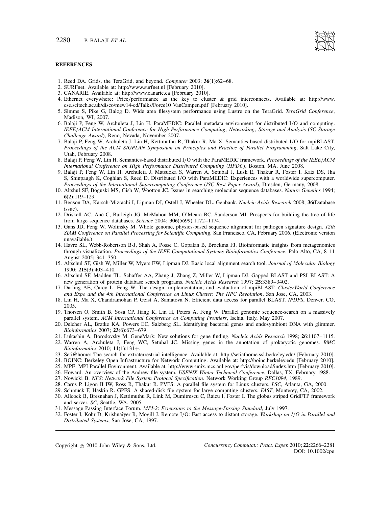#### **REFERENCES**

- 1. Reed DA. Grids, the TeraGrid, and beyond. *Computer* 2003; **36**(1):62–68.
- 2. SURFnet. Available at: http://www.surfnet.nl [February 2010].
- 3. CANARIE. Available at: http://www.canarie.ca [February 2010].
- 4. Ethernet everywhere: Price*/*performance as the key to cluster & grid interconnects. Available at: http://www. cse.scitech.ac.uk/disco/mew14-cd/Talks/Force10 VanCampen.pdf [February 2010].
- 5. Simms S, Pike G, Balog D. Wide area filesystem performance using Lustre on the TeraGrid. *TeraGrid Conference*, Madison, WI, 2007.
- 6. Balaji P, Feng W, Archuleta J, Lin H. ParaMEDIC: Parallel metadata environment for distributed I*/*O and computing. *IEEE/ACM International Conference for High Performance Computing, Networking, Storage and Analysis* (*SC Storage Challenge Award*), Reno, Nevada, November 2007.
- 7. Balaji P, Feng W, Archuleta J, Lin H, Kettimuthu R, Thakur R, Ma X. Semantics-based distributed I*/*O for mpiBLAST. *Proceedings of the ACM SIGPLAN Symposium on Principles and Practice of Parallel Programming*, Salt Lake City, Utah, February 2008.
- 8. Balaji P, Feng W, Lin H. Semantics-based distributed I*/*O with the ParaMEDIC framework. *Proceedings of the IEEE/ACM International Conference on High Performance Distributed Computing (HPDC)*, Boston, MA, June 2008.
- 9. Balaji P, Feng W, Lin H, Archuleta J, Matsuoka S, Warren A, Setubal J, Lusk E, Thakur R, Foster I, Katz DS, Jha S, Shinpaugh K, Coghlan S, Reed D. Distributed I*/*O with ParaMEDIC: Experiences with a worldwide supercomputer. *Proceedings of the International Supercomputing Conference* (*ISC Best Paper Award*), Dresden, Germany, 2008.
- 10. Altshul SF, Boguski MS, Gish W, Wootton JC. Issues in searching molecular sequence databases. *Nature Genetics* 1994; **6**(2):119–129.
- 11. Benson DA, Karsch-Mizrachi I, Lipman DJ, Ostell J, Wheeler DL. Genbank. *Nucleic Acids Research* 2008; **36**(Database issue).
- 12. Driskell AC, Ane C, Burleigh JG, McMahon MM, O'Meara BC, Sanderson MJ. Prospects for building the tree of life ´ from large sequence databases. *Science* 2004; **306**(5699):1172–1174.
- 13. Gans JD, Feng W, Wolinsky M. Whole genome, physics-based sequence alignment for pathogen signature design. *12th SIAM Conference on Parallel Processing for Scientific Computing*, San Francisco, CA, February 2006. (Electronic version unavailable.)
- 14. Havre SL, Webb-Robertson B-J, Shah A, Posse C, Gopalan B, Brockma FJ. Bioinformatic insights from metagenomics through visualization. *Proceedings of the IEEE Computational Systems Bioinformatics Conference*, Palo Alto, CA, 8–11 August 2005; 341–350.
- 15. Altschul SF, Gish W, Miller W, Myers EW, Lipman DJ. Basic local alignment search tool. *Journal of Molecular Biology* 1990; **215**(3):403–410.
- 16. Altschul SF, Madden TL, Schaffer AA, Zhang J, Zhang Z, Miller W, Lipman DJ. Gapped BLAST and PSI–BLAST: A new generation of protein database search programs. *Nucleic Acids Research* 1997; **25**:3389–3402.
- 17. Darling AE, Carey L, Feng W. The design, implementation, and evaluation of mpiBLAST. *ClusterWorld Conference and Expo and the 4th International Conference on Linux Cluster*: *The HPC Revolution*, San Jose, CA, 2003.
- 18. Lin H, Ma X, Chandramohan P, Geist A, Samatova N. Efficient data access for parallel BLAST. *IPDPS*, Denver, CO, 2005.
- 19. Thorsen O, Smith B, Sosa CP, Jiang K, Lin H, Peters A, Feng W. Parallel genomic sequence-search on a massively parallel system. *ACM International Conference on Computing Frontiers*, Ischia, Italy, May 2007.
- 20. Delcher AL, Bratke KA, Powers EC, Salzberg SL. Identifying bacterial genes and endosymbiont DNA with glimmer. *Bioinformatics* 2007; **23**(6):673–679.
- 21. Lukashin A, Borodovsky M. GeneMark: New solutions for gene finding. *Nucleic Acids Research* 1998; **26**:1107–1115. 22. Warren A, Archuleta J, Feng WC, Setubal JC. Missing genes in the annotation of prokaryotic genomes. *BMC*
- *Bioinformatics* 2010; **11**(1):131+.
- 23. Seti@home: The search for extraterrestrial intelligence. Available at: http://setiathome.ssl.berkeley.edu/ [February 2010].
- 24. BOINC: Berkeley Open Infrastructure for Network Computing. Available at: http://boinc.berkeley.edu [February 2010].
- 25. MPE: MPI Parallel Environment. Available at: http://www-unix.mcs.anl.gov/perfvis/download/index.htm [February 2010].
- 26. Howard. An overview of the Andrew file system. *USENIX Winter Technical Conference*, Dallas, TX, February 1988.
- 27. Nowicki B. *NFS*: *Network File System Protocol Specification*. Network Working Group *RFC1094*, 1989.
- 28. Carns P, Ligon II IW, Ross R, Thakur R. PVFS: A parallel file system for Linux clusters. *LSC*, Atlanta, GA, 2000. 29. Schmuck F, Haskin R. GPFS: A shared-disk file system for large computing clusters. *FAST*, Monterey, CA, 2002.
- 30. Allcock B, Bresnahan J, Kettimuthu R, Link M, Dumitrescu C, Raicu I, Foster I. The globus striped GridFTP framework
- and server. *SC*, Seattle, WA, 2005.
- 31. Message Passing Interface Forum. *MPI-2*: *Extensions to the Message-Passing Standard*, July 1997.
- 32. Foster I, Kohr D, Krishnaiyer R, Mogill J. Remote I*/*O: Fast access to distant storage. *Workshop on I/O in Parallel and Distributed Systems*, San Jose, CA, 1997.